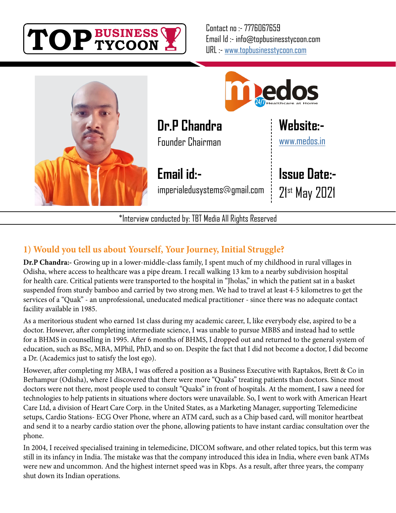

Contact no :- 7776067659 Email Id :- info@topbusinesstycoon.com URL :- [www.topbusinesstycoon.com](https://www.topbusinesstycoon.com/)





**Dr.P Chandra**

Founder Chairman

**Email id:** imperialedusystems@gmail.com **Issue Date:-**

**[Website:-](https://www.talentresourze.com/)**

[www.medos.in](http://www.medos.in/)

21st May 2021

\*Interview conducted by: TBT Media All Rights Reserved

# **1) Would you tell us about Yourself, Your Journey, Initial Struggle?**

**Dr.P Chandra:-** Growing up in a lower-middle-class family, I spent much of my childhood in rural villages in Odisha, where access to healthcare was a pipe dream. I recall walking 13 km to a nearby subdivision hospital for health care. Critical patients were transported to the hospital in "Jholas," in which the patient sat in a basket suspended from sturdy bamboo and carried by two strong men. We had to travel at least 4-5 kilometres to get the services of a "Quak" - an unprofessional, uneducated medical practitioner - since there was no adequate contact facility available in 1985.

As a meritorious student who earned 1st class during my academic career, I, like everybody else, aspired to be a doctor. However, after completing intermediate science, I was unable to pursue MBBS and instead had to settle for a BHMS in counselling in 1995. After 6 months of BHMS, I dropped out and returned to the general system of education, such as BSc, MBA, MPhil, PhD, and so on. Despite the fact that I did not become a doctor, I did become a Dr. (Academics just to satisfy the lost ego).

However, after completing my MBA, I was offered a position as a Business Executive with Raptakos, Brett & Co in Berhampur (Odisha), where I discovered that there were more "Quaks" treating patients than doctors. Since most doctors were not there, most people used to consult "Quaks" in front of hospitals. At the moment, I saw a need for technologies to help patients in situations where doctors were unavailable. So, I went to work with American Heart Care Ltd, a division of Heart Care Corp. in the United States, as a Marketing Manager, supporting Telemedicine setups, Cardio Stations- ECG Over Phone, where an ATM card, such as a Chip based card, will monitor heartbeat and send it to a nearby cardio station over the phone, allowing patients to have instant cardiac consultation over the phone.

In 2004, I received specialised training in telemedicine, DICOM software, and other related topics, but this term was still in its infancy in India. The mistake was that the company introduced this idea in India, where even bank ATMs were new and uncommon. And the highest internet speed was in Kbps. As a result, after three years, the company shut down its Indian operations.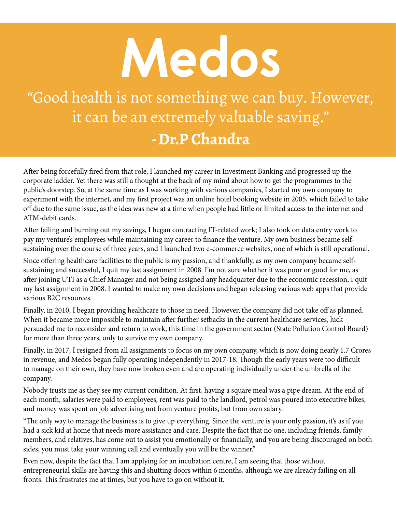# **Medos**

"Good health is not something we can buy. However, it can be an extremely valuable saving." **- Dr.P Chandra**

After being forcefully fired from that role, I launched my career in Investment Banking and progressed up the corporate ladder. Yet there was still a thought at the back of my mind about how to get the programmes to the public's doorstep. So, at the same time as I was working with various companies, I started my own company to experiment with the internet, and my first project was an online hotel booking website in 2005, which failed to take off due to the same issue, as the idea was new at a time when people had little or limited access to the internet and ATM-debit cards.

After failing and burning out my savings, I began contracting IT-related work; I also took on data entry work to pay my venture's employees while maintaining my career to finance the venture. My own business became selfsustaining over the course of three years, and I launched two e-commerce websites, one of which is still operational.

Since offering healthcare facilities to the public is my passion, and thankfully, as my own company became selfsustaining and successful, I quit my last assignment in 2008. I'm not sure whether it was poor or good for me, as after joining UTI as a Chief Manager and not being assigned any headquarter due to the economic recession, I quit my last assignment in 2008. I wanted to make my own decisions and began releasing various web apps that provide various B2C resources.

Finally, in 2010, I began providing healthcare to those in need. However, the company did not take off as planned. When it became more impossible to maintain after further setbacks in the current healthcare services, luck persuaded me to reconsider and return to work, this time in the government sector (State Pollution Control Board) for more than three years, only to survive my own company.

Finally, in 2017, I resigned from all assignments to focus on my own company, which is now doing nearly 1.7 Crores in revenue, and Medos began fully operating independently in 2017-18. Though the early years were too difficult to manage on their own, they have now broken even and are operating individually under the umbrella of the company.

Nobody trusts me as they see my current condition. At first, having a square meal was a pipe dream. At the end of each month, salaries were paid to employees, rent was paid to the landlord, petrol was poured into executive bikes, and money was spent on job advertising not from venture profits, but from own salary.

"The only way to manage the business is to give up everything. Since the venture is your only passion, it's as if you had a sick kid at home that needs more assistance and care. Despite the fact that no one, including friends, family members, and relatives, has come out to assist you emotionally or financially, and you are being discouraged on both sides, you must take your winning call and eventually you will be the winner."

Even now, despite the fact that I am applying for an incubation centre, I am seeing that those without entrepreneurial skills are having this and shutting doors within 6 months, although we are already failing on all fronts. This frustrates me at times, but you have to go on without it.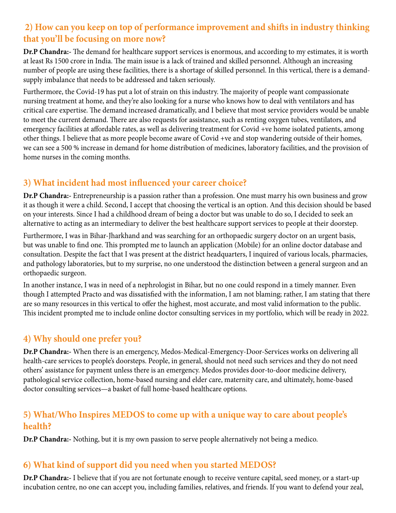# **2) How can you keep on top of performance improvement and shifts in industry thinking that you'll be focusing on more now?**

**Dr.P Chandra:-** The demand for healthcare support services is enormous, and according to my estimates, it is worth at least Rs 1500 crore in India. The main issue is a lack of trained and skilled personnel. Although an increasing number of people are using these facilities, there is a shortage of skilled personnel. In this vertical, there is a demandsupply imbalance that needs to be addressed and taken seriously.

Furthermore, the Covid-19 has put a lot of strain on this industry. The majority of people want compassionate nursing treatment at home, and they're also looking for a nurse who knows how to deal with ventilators and has critical care expertise. The demand increased dramatically, and I believe that most service providers would be unable to meet the current demand. There are also requests for assistance, such as renting oxygen tubes, ventilators, and emergency facilities at affordable rates, as well as delivering treatment for Covid +ve home isolated patients, among other things. I believe that as more people become aware of Covid +ve and stop wandering outside of their homes, we can see a 500 % increase in demand for home distribution of medicines, laboratory facilities, and the provision of home nurses in the coming months.

# **3) What incident had most influenced your career choice?**

**Dr.P Chandra:-** Entrepreneurship is a passion rather than a profession. One must marry his own business and grow it as though it were a child. Second, I accept that choosing the vertical is an option. And this decision should be based on your interests. Since I had a childhood dream of being a doctor but was unable to do so, I decided to seek an alternative to acting as an intermediary to deliver the best healthcare support services to people at their doorstep.

Furthermore, I was in Bihar-Jharkhand and was searching for an orthopaedic surgery doctor on an urgent basis, but was unable to find one. This prompted me to launch an application (Mobile) for an online doctor database and consultation. Despite the fact that I was present at the district headquarters, I inquired of various locals, pharmacies, and pathology laboratories, but to my surprise, no one understood the distinction between a general surgeon and an orthopaedic surgeon.

In another instance, I was in need of a nephrologist in Bihar, but no one could respond in a timely manner. Even though I attempted Practo and was dissatisfied with the information, I am not blaming; rather, I am stating that there are so many resources in this vertical to offer the highest, most accurate, and most valid information to the public. This incident prompted me to include online doctor consulting services in my portfolio, which will be ready in 2022.

### **4) Why should one prefer you?**

**Dr.P Chandra:-** When there is an emergency, Medos-Medical-Emergency-Door-Services works on delivering all health-care services to people's doorsteps. People, in general, should not need such services and they do not need others' assistance for payment unless there is an emergency. Medos provides door-to-door medicine delivery, pathological service collection, home-based nursing and elder care, maternity care, and ultimately, home-based doctor consulting services—a basket of full home-based healthcare options.

### **5) What/Who Inspires MEDOS to come up with a unique way to care about people's health?**

**Dr.P Chandra:-** Nothing, but it is my own passion to serve people alternatively not being a medico.

### **6) What kind of support did you need when you started MEDOS?**

**Dr.P Chandra:-** I believe that if you are not fortunate enough to receive venture capital, seed money, or a start-up incubation centre, no one can accept you, including families, relatives, and friends. If you want to defend your zeal,